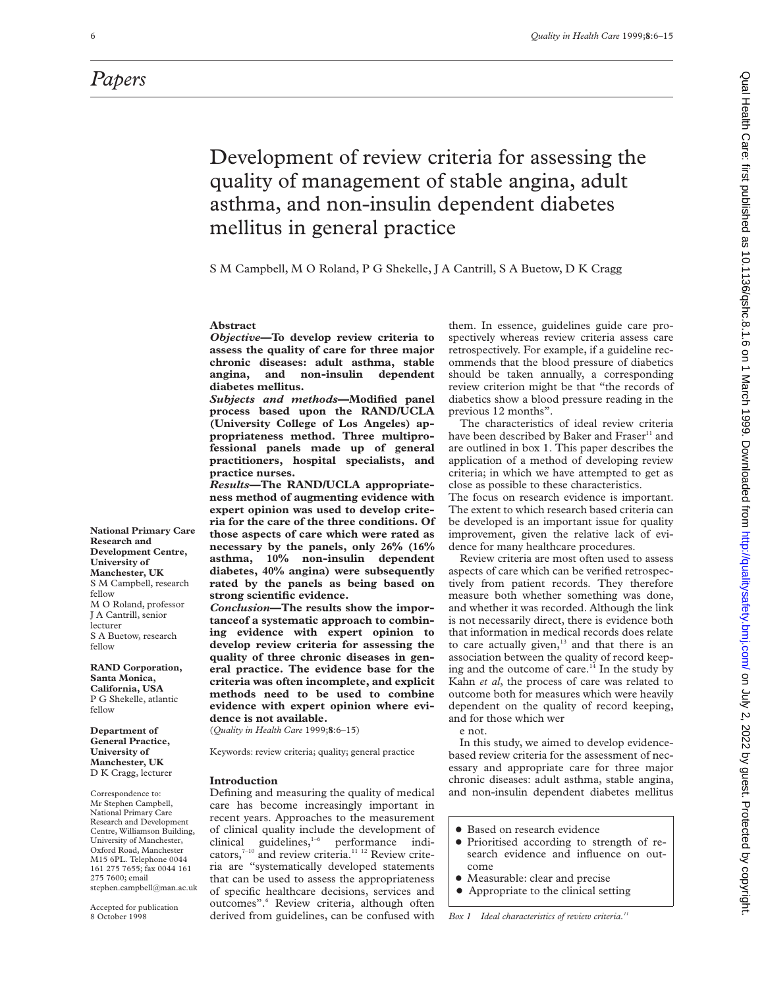# Development of review criteria for assessing the quality of management of stable angina, adult asthma, and non-insulin dependent diabetes mellitus in general practice

S M Campbell, M O Roland, P G Shekelle, J A Cantrill, S A Buetow, D K Cragg

# **Abstract**

*Objective***—To develop review criteria to assess the quality of care for three major chronic diseases: adult asthma, stable angina, and non-insulin dependent diabetes mellitus.**

*Subjects and methods***—Modified panel process based upon the RAND/UCLA (University College of Los Angeles) appropriateness method. Three multiprofessional panels made up of general practitioners, hospital specialists, and practice nurses.**

*Results***—The RAND/UCLA appropriateness method of augmenting evidence with expert opinion was used to develop criteria for the care of the three conditions. Of those aspects of care which were rated as necessary by the panels, only 26% (16% asthma, 10% non-insulin dependent diabetes, 40% angina) were subsequently rated by the panels as being based on strong scientific evidence.**

*Conclusion***—The results show the importanceof a systematic approach to combining evidence with expert opinion to develop review criteria for assessing the quality of three chronic diseases in general practice. The evidence base for the criteria was often incomplete, and explicit methods need to be used to combine evidence with expert opinion where evidence is not available.**

(*Quality in Health Care* 1999;**8**:6–15)

Keywords: review criteria; quality; general practice

#### **Introduction**

Defining and measuring the quality of medical care has become increasingly important in recent years. Approaches to the measurement of clinical quality include the development of clinical guidelines, $1-6$  performance indicators, $7-10$  and review criteria.<sup>11 12</sup> Review criteria are "systematically developed statements that can be used to assess the appropriateness of specific healthcare decisions, services and outcomes".6 Review criteria, although often derived from guidelines, can be confused with them. In essence, guidelines guide care prospectively whereas review criteria assess care retrospectively. For example, if a guideline recommends that the blood pressure of diabetics should be taken annually, a corresponding review criterion might be that "the records of diabetics show a blood pressure reading in the previous 12 months".

The characteristics of ideal review criteria have been described by Baker and Fraser<sup>11</sup> and are outlined in box 1. This paper describes the application of a method of developing review criteria; in which we have attempted to get as close as possible to these characteristics.

The focus on research evidence is important. The extent to which research based criteria can be developed is an important issue for quality improvement, given the relative lack of evidence for many healthcare procedures.

Review criteria are most often used to assess aspects of care which can be verified retrospectively from patient records. They therefore measure both whether something was done, and whether it was recorded. Although the link is not necessarily direct, there is evidence both that information in medical records does relate to care actually given,<sup>13</sup> and that there is an association between the quality of record keeping and the outcome of care.<sup>14</sup> In the study by Kahn *et al*, the process of care was related to outcome both for measures which were heavily dependent on the quality of record keeping, and for those which wer

e not.

In this study, we aimed to develop evidencebased review criteria for the assessment of necessary and appropriate care for three major chronic diseases: adult asthma, stable angina, and non-insulin dependent diabetes mellitus

- Based on research evidence
- Prioritised according to strength of research evidence and influence on outcome
- Measurable: clear and precise
- Appropriate to the clinical setting

*Box 1 Ideal characteristics of review criteria.11*

**Research and Development Centre, University of Manchester, UK** S M Campbell, research fellow M O Roland, professor J A Cantrill, senior lecturer S A Buetow, research fellow

**National Primary Care**

**RAND Corporation, Santa Monica, California, USA** P G Shekelle, atlantic fellow

**Department of General Practice, University of Manchester, UK** D K Cragg, lecturer

Correspondence to: Mr Stephen Campbell, National Primary Care Research and Development Centre, Williamson Building, University of Manchester, Oxford Road, Manchester M15 6PL. Telephone 0044 161 275 7655; fax 0044 161 275 7600; email stephen.campbell@man.ac.uk

Accepted for publication 8 October 1998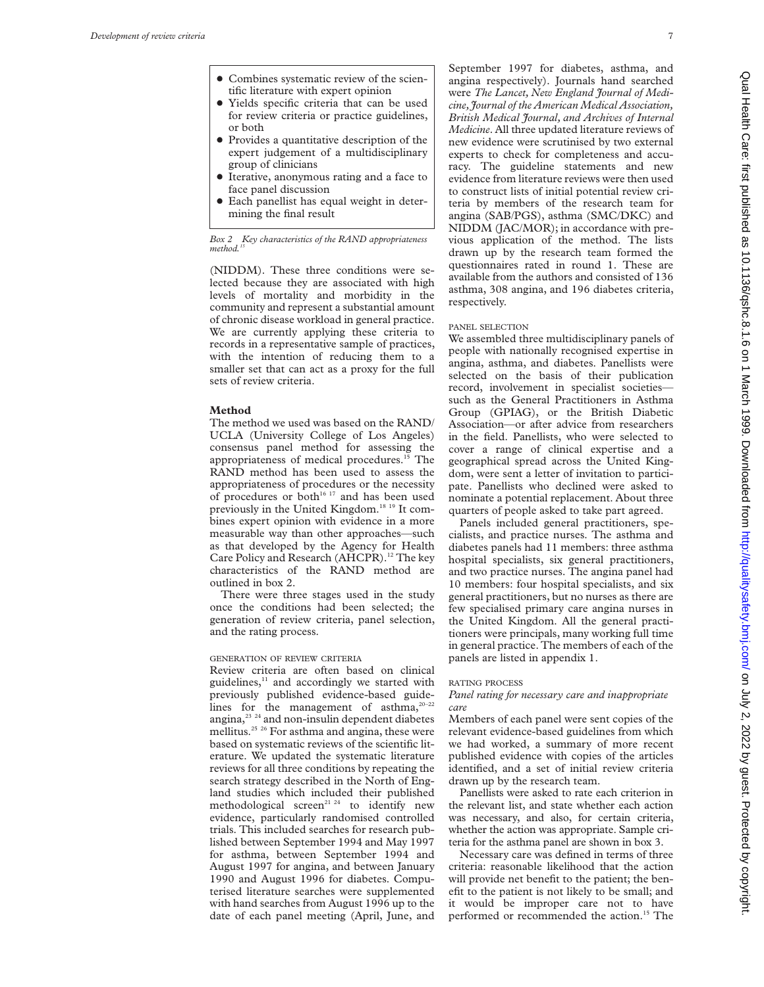- Combines systematic review of the scientific literature with expert opinion
- Yields specific criteria that can be used for review criteria or practice guidelines, or both
- Provides a quantitative description of the expert judgement of a multidisciplinary group of clinicians
- $\bullet$  Iterative, anonymous rating and a face to face panel discussion
- Each panellist has equal weight in determining the final result

*Box 2 Key characteristics of the RAND appropriateness method.*<sup>1</sup>

(NIDDM). These three conditions were selected because they are associated with high levels of mortality and morbidity in the community and represent a substantial amount of chronic disease workload in general practice. We are currently applying these criteria to records in a representative sample of practices, with the intention of reducing them to a smaller set that can act as a proxy for the full sets of review criteria.

# **Method**

The method we used was based on the RAND/ UCLA (University College of Los Angeles) consensus panel method for assessing the appropriateness of medical procedures.<sup>15</sup> The RAND method has been used to assess the appropriateness of procedures or the necessity of procedures or both $16$  17 and has been used previously in the United Kingdom.<sup>18 19</sup> It combines expert opinion with evidence in a more measurable way than other approaches—such as that developed by the Agency for Health Care Policy and Research (AHCPR).<sup>12</sup> The key characteristics of the RAND method are outlined in box 2.

There were three stages used in the study once the conditions had been selected; the generation of review criteria, panel selection, and the rating process.

# GENERATION OF REVIEW CRITERIA

Review criteria are often based on clinical guidelines,<sup>11</sup> and accordingly we started with previously published evidence-based guidelines for the management of asthma, $20-22$ angina,23 24 and non-insulin dependent diabetes mellitus.25 26 For asthma and angina, these were based on systematic reviews of the scientific literature. We updated the systematic literature reviews for all three conditions by repeating the search strategy described in the North of England studies which included their published methodological screen<sup>21 24</sup> to identify new evidence, particularly randomised controlled trials. This included searches for research published between September 1994 and May 1997 for asthma, between September 1994 and August 1997 for angina, and between January 1990 and August 1996 for diabetes. Computerised literature searches were supplemented with hand searches from August 1996 up to the date of each panel meeting (April, June, and

September 1997 for diabetes, asthma, and angina respectively). Journals hand searched were *The Lancet, New England Journal of Medicine,Journal of the American Medical Association, British Medical Journal, and Archives of Internal Medicine*. All three updated literature reviews of new evidence were scrutinised by two external experts to check for completeness and accuracy. The guideline statements and new evidence from literature reviews were then used to construct lists of initial potential review criteria by members of the research team for angina (SAB/PGS), asthma (SMC/DKC) and NIDDM (JAC/MOR); in accordance with previous application of the method. The lists drawn up by the research team formed the questionnaires rated in round 1. These are available from the authors and consisted of 136 asthma, 308 angina, and 196 diabetes criteria, respectively.

# PANEL SELECTION

We assembled three multidisciplinary panels of people with nationally recognised expertise in angina, asthma, and diabetes. Panellists were selected on the basis of their publication record, involvement in specialist societies such as the General Practitioners in Asthma Group (GPIAG), or the British Diabetic Association—or after advice from researchers in the field. Panellists, who were selected to cover a range of clinical expertise and a geographical spread across the United Kingdom, were sent a letter of invitation to participate. Panellists who declined were asked to nominate a potential replacement. About three quarters of people asked to take part agreed.

Panels included general practitioners, specialists, and practice nurses. The asthma and diabetes panels had 11 members: three asthma hospital specialists, six general practitioners, and two practice nurses. The angina panel had 10 members: four hospital specialists, and six general practitioners, but no nurses as there are few specialised primary care angina nurses in the United Kingdom. All the general practitioners were principals, many working full time in general practice. The members of each of the panels are listed in appendix 1.

#### RATING PROCESS

### *Panel rating for necessary care and inappropriate care*

Members of each panel were sent copies of the relevant evidence-based guidelines from which we had worked, a summary of more recent published evidence with copies of the articles identified, and a set of initial review criteria drawn up by the research team.

Panellists were asked to rate each criterion in the relevant list, and state whether each action was necessary, and also, for certain criteria, whether the action was appropriate. Sample criteria for the asthma panel are shown in box 3.

Necessary care was defined in terms of three criteria: reasonable likelihood that the action will provide net benefit to the patient; the benefit to the patient is not likely to be small; and it would be improper care not to have performed or recommended the action.<sup>15</sup> The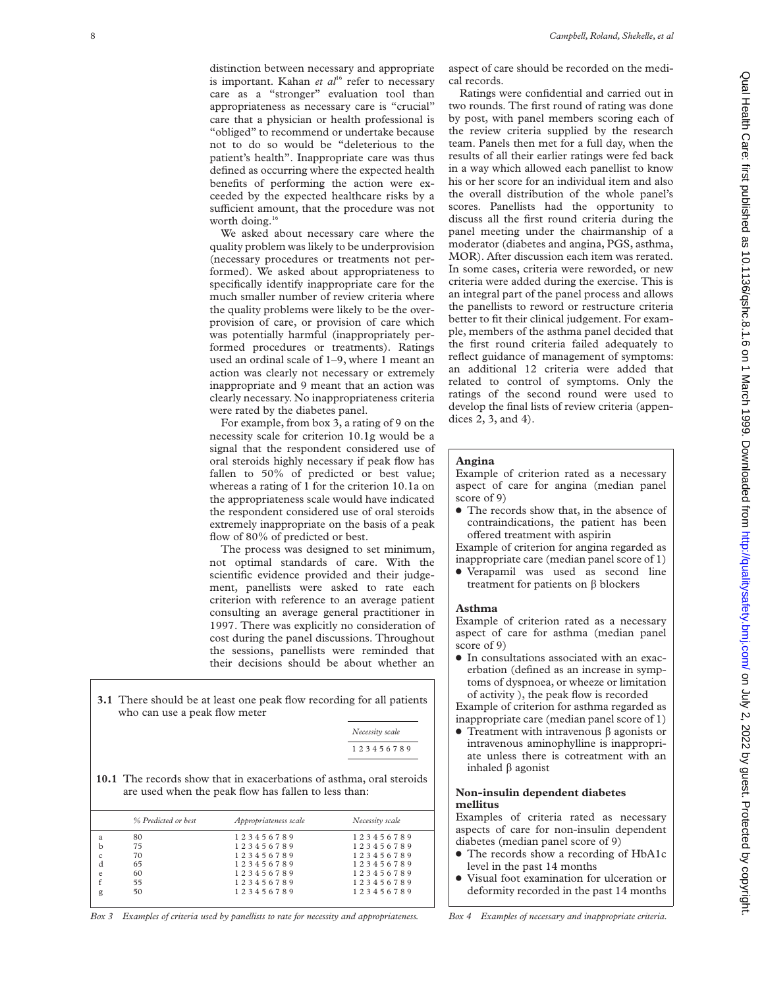distinction between necessary and appropriate is important. Kahan *et al*<sup>16</sup> refer to necessary care as a "stronger" evaluation tool than appropriateness as necessary care is "crucial" care that a physician or health professional is "obliged" to recommend or undertake because not to do so would be "deleterious to the patient's health". Inappropriate care was thus defined as occurring where the expected health benefits of performing the action were exceeded by the expected healthcare risks by a sufficient amount, that the procedure was not worth doing.<sup>16</sup>

We asked about necessary care where the quality problem was likely to be underprovision (necessary procedures or treatments not performed). We asked about appropriateness to specifically identify inappropriate care for the much smaller number of review criteria where the quality problems were likely to be the overprovision of care, or provision of care which was potentially harmful (inappropriately performed procedures or treatments). Ratings used an ordinal scale of 1–9, where 1 meant an action was clearly not necessary or extremely inappropriate and 9 meant that an action was clearly necessary. No inappropriateness criteria were rated by the diabetes panel.

For example, from box 3, a rating of 9 on the necessity scale for criterion 10.1g would be a signal that the respondent considered use of oral steroids highly necessary if peak flow has fallen to 50% of predicted or best value; whereas a rating of 1 for the criterion 10.1a on the appropriateness scale would have indicated the respondent considered use of oral steroids extremely inappropriate on the basis of a peak flow of 80% of predicted or best.

The process was designed to set minimum, not optimal standards of care. With the scientific evidence provided and their judgement, panellists were asked to rate each criterion with reference to an average patient consulting an average general practitioner in 1997. There was explicitly no consideration of cost during the panel discussions. Throughout the sessions, panellists were reminded that their decisions should be about whether an

| <b>3.1</b> There should be at least one peak flow recording for all patients<br>who can use a peak flow meter                |                     |                       |                 |  |  |  |  |
|------------------------------------------------------------------------------------------------------------------------------|---------------------|-----------------------|-----------------|--|--|--|--|
|                                                                                                                              |                     |                       | Necessity scale |  |  |  |  |
|                                                                                                                              |                     |                       | 123456789       |  |  |  |  |
| 10.1 The records show that in exacerbations of asthma, oral steroids<br>are used when the peak flow has fallen to less than: |                     |                       |                 |  |  |  |  |
|                                                                                                                              | % Predicted or best | Appropriateness scale | Necessity scale |  |  |  |  |
| a                                                                                                                            | 80                  | 123456789             | 123456789       |  |  |  |  |
| b                                                                                                                            | 75                  | 123456789             | 123456789       |  |  |  |  |
| c                                                                                                                            | 70                  | 123456789             | 123456789       |  |  |  |  |
| d                                                                                                                            | 65                  | 123456789             | 123456789       |  |  |  |  |

*Box 3 Examples of criteria used by panellists to rate for necessity and appropriateness.*

e 60 123456789 123456789 f 55 123456789 123456789 g 50 123456789 123456789

aspect of care should be recorded on the medical records.

Ratings were confidential and carried out in two rounds. The first round of rating was done by post, with panel members scoring each of the review criteria supplied by the research team. Panels then met for a full day, when the results of all their earlier ratings were fed back in a way which allowed each panellist to know his or her score for an individual item and also the overall distribution of the whole panel's scores. Panellists had the opportunity to discuss all the first round criteria during the panel meeting under the chairmanship of a moderator (diabetes and angina, PGS, asthma, MOR). After discussion each item was rerated. In some cases, criteria were reworded, or new criteria were added during the exercise. This is an integral part of the panel process and allows the panellists to reword or restructure criteria better to fit their clinical judgement. For example, members of the asthma panel decided that the first round criteria failed adequately to reflect guidance of management of symptoms: an additional 12 criteria were added that related to control of symptoms. Only the ratings of the second round were used to develop the final lists of review criteria (appendices 2, 3, and 4).

### **Angina**

Example of criterion rated as a necessary aspect of care for angina (median panel score of 9)

• The records show that, in the absence of contraindications, the patient has been offered treatment with aspirin

Example of criterion for angina regarded as inappropriate care (median panel score of 1)

• Verapamil was used as second line treatment for patients on  $\beta$  blockers

# **Asthma**

Example of criterion rated as a necessary aspect of care for asthma (median panel score of 9)

 $\bullet$  In consultations associated with an exacerbation (defined as an increase in symptoms of dyspnoea, or wheeze or limitation of activity ), the peak flow is recorded

Example of criterion for asthma regarded as inappropriate care (median panel score of 1)

• Treatment with intravenous  $\beta$  agonists or intravenous aminophylline is inappropriate unless there is cotreatment with an inhaled  $\beta$  agonist

# **Non-insulin dependent diabetes mellitus**

Examples of criteria rated as necessary aspects of care for non-insulin dependent diabetes (median panel score of 9)

- The records show a recording of HbA1c level in the past 14 months
- Visual foot examination for ulceration or deformity recorded in the past 14 months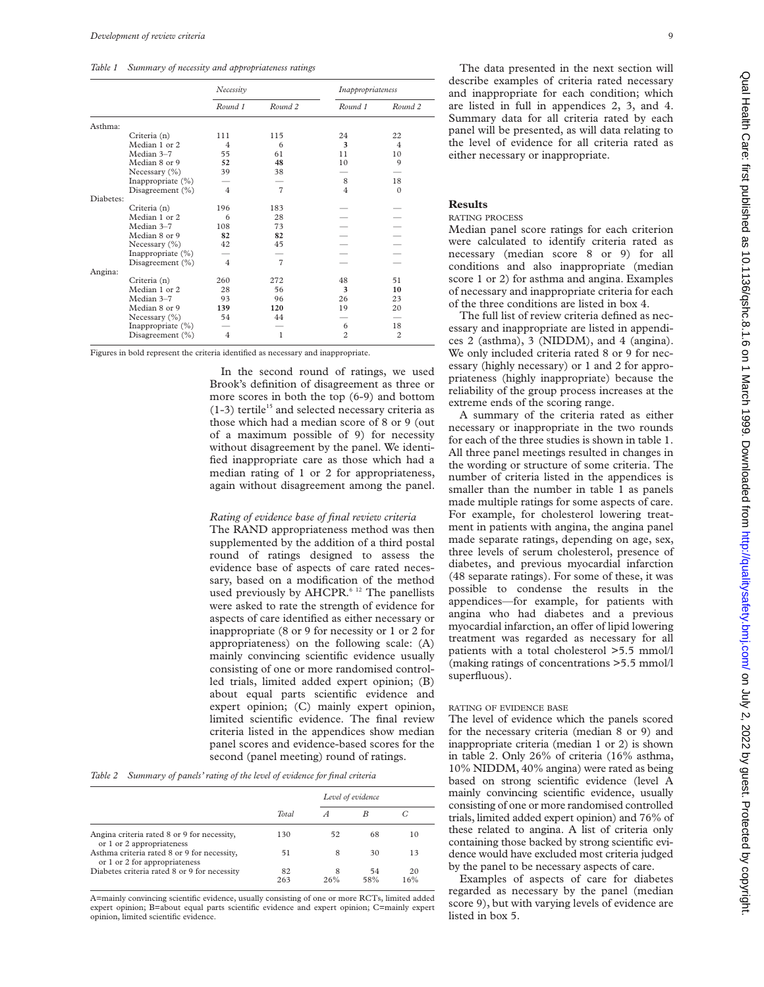*Table 1 Summary of necessity and appropriateness ratings*

|                   | Necessity      |                |                | Inappropriateness |  |
|-------------------|----------------|----------------|----------------|-------------------|--|
|                   | Round 1        | Round 2        | Round 1        | Round 2           |  |
| Asthma:           |                |                |                |                   |  |
| Criteria (n)      | 111            | 115            | 24             | 22                |  |
| Median 1 or 2     | 4              | 6              | 3              | $\overline{4}$    |  |
| Median 3-7        | 55             | 61             | 11             | 10                |  |
| Median 8 or 9     | 52             | 48             | 10             | 9                 |  |
| Necessary $(\% )$ | 39             | 38             |                |                   |  |
| Inappropriate (%) |                |                | 8              | 18                |  |
| Disagreement (%)  | $\overline{4}$ | $\overline{7}$ | $\overline{4}$ | $\mathbf{0}$      |  |
| Diabetes:         |                |                |                |                   |  |
| Criteria (n)      | 196            | 183            |                |                   |  |
| Median 1 or 2     | 6              | 28             |                |                   |  |
| Median 3-7        | 108            | 73             |                |                   |  |
| Median 8 or 9     | 82             | 82             |                |                   |  |
| Necessary $(\% )$ | 42             | 45             |                |                   |  |
| Inappropriate (%) |                |                |                |                   |  |
| Disagreement (%)  | $\overline{4}$ | $\overline{7}$ |                |                   |  |
| Angina:           |                |                |                |                   |  |
| Criteria (n)      | 260            | 272            | 48             | 51                |  |
| Median 1 or 2     | 28             | 56             | 3              | 10                |  |
| Median 3-7        | 93             | 96             | 26             | 23                |  |
| Median 8 or 9     | 139            | 120            | 19             | 20                |  |
| Necessary $(\% )$ | 54             | 44             |                |                   |  |
| Inappropriate (%) |                |                | 6              | 18                |  |
| Disagreement (%)  | $\overline{4}$ | $\mathbf{1}$   | $\overline{c}$ | $\overline{c}$    |  |

Figures in bold represent the criteria identified as necessary and inappropriate.

In the second round of ratings, we used Brook's definition of disagreement as three or more scores in both the top (6-9) and bottom  $(1-3)$  tertile<sup>15</sup> and selected necessary criteria as those which had a median score of 8 or 9 (out of a maximum possible of 9) for necessity without disagreement by the panel. We identified inappropriate care as those which had a median rating of 1 or 2 for appropriateness, again without disagreement among the panel.

# *Rating of evidence base of final review criteria*

The RAND appropriateness method was then supplemented by the addition of a third postal round of ratings designed to assess the evidence base of aspects of care rated necessary, based on a modification of the method used previously by AHCPR.<sup>6 12</sup> The panellists were asked to rate the strength of evidence for aspects of care identified as either necessary or inappropriate (8 or 9 for necessity or 1 or 2 for appropriateness) on the following scale: (A) mainly convincing scientific evidence usually consisting of one or more randomised controlled trials, limited added expert opinion; (B) about equal parts scientific evidence and expert opinion; (C) mainly expert opinion, limited scientific evidence. The final review criteria listed in the appendices show median panel scores and evidence-based scores for the second (panel meeting) round of ratings.

#### *Table 2 Summary of panels' rating of the level of evidence for final criteria*

|                                                                              |              |          | Level of evidence |           |  |
|------------------------------------------------------------------------------|--------------|----------|-------------------|-----------|--|
|                                                                              | <b>Total</b> |          | B                 | C         |  |
| Angina criteria rated 8 or 9 for necessity,<br>or 1 or 2 appropriateness     | 130          | 52       | 68                | 10        |  |
| Asthma criteria rated 8 or 9 for necessity,<br>or 1 or 2 for appropriateness | 51           | 8        | 30                | 13        |  |
| Diabetes criteria rated 8 or 9 for necessity                                 | 82<br>263    | 8<br>26% | 54<br>58%         | 20<br>16% |  |

A=mainly convincing scientific evidence, usually consisting of one or more RCTs, limited added expert opinion; B=about equal parts scientific evidence and expert opinion; C=mainly expert opinion, limited scientific evidence.

The data presented in the next section will describe examples of criteria rated necessary and inappropriate for each condition; which are listed in full in appendices 2, 3, and 4. Summary data for all criteria rated by each panel will be presented, as will data relating to the level of evidence for all criteria rated as either necessary or inappropriate.

# **Results**

# RATING PROCESS

Median panel score ratings for each criterion were calculated to identify criteria rated as necessary (median score 8 or 9) for all conditions and also inappropriate (median score 1 or 2) for asthma and angina. Examples of necessary and inappropriate criteria for each of the three conditions are listed in box 4.

The full list of review criteria defined as necessary and inappropriate are listed in appendices 2 (asthma), 3 (NIDDM), and 4 (angina). We only included criteria rated 8 or 9 for necessary (highly necessary) or 1 and 2 for appropriateness (highly inappropriate) because the reliability of the group process increases at the extreme ends of the scoring range.

A summary of the criteria rated as either necessary or inappropriate in the two rounds for each of the three studies is shown in table 1. All three panel meetings resulted in changes in the wording or structure of some criteria. The number of criteria listed in the appendices is smaller than the number in table 1 as panels made multiple ratings for some aspects of care. For example, for cholesterol lowering treatment in patients with angina, the angina panel made separate ratings, depending on age, sex, three levels of serum cholesterol, presence of diabetes, and previous myocardial infarction (48 separate ratings). For some of these, it was possible to condense the results in the appendices—for example, for patients with angina who had diabetes and a previous myocardial infarction, an offer of lipid lowering treatment was regarded as necessary for all patients with a total cholesterol >5.5 mmol/l (making ratings of concentrations >5.5 mmol/l superfluous).

### RATING OF EVIDENCE BASE

The level of evidence which the panels scored for the necessary criteria (median 8 or 9) and inappropriate criteria (median 1 or 2) is shown in table 2. Only 26% of criteria (16% asthma, 10% NIDDM, 40% angina) were rated as being based on strong scientific evidence (level A mainly convincing scientific evidence, usually consisting of one or more randomised controlled trials, limited added expert opinion) and 76% of these related to angina. A list of criteria only containing those backed by strong scientific evidence would have excluded most criteria judged by the panel to be necessary aspects of care.

Examples of aspects of care for diabetes regarded as necessary by the panel (median score 9), but with varying levels of evidence are listed in box 5.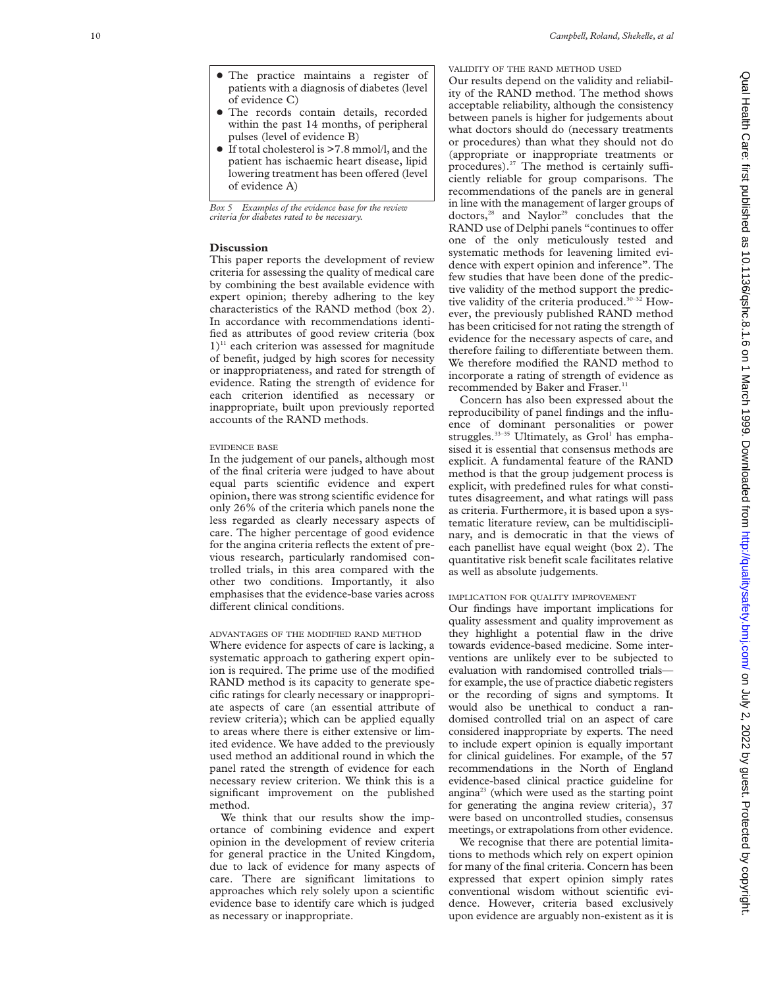- The practice maintains a register of patients with a diagnosis of diabetes (level of evidence C)
- The records contain details, recorded within the past 14 months, of peripheral pulses (level of evidence B)
- If total cholesterol is >7.8 mmol/l, and the patient has ischaemic heart disease, lipid .<br>lowering treatment has been offered (level of evidence A)

*Box 5 Examples of the evidence base for the review criteria for diabetes rated to be necessary.*

# **Discussion**

This paper reports the development of review criteria for assessing the quality of medical care by combining the best available evidence with expert opinion; thereby adhering to the key characteristics of the RAND method (box 2). In accordance with recommendations identified as attributes of good review criteria (box  $1$ <sup>11</sup> each criterion was assessed for magnitude of benefit, judged by high scores for necessity or inappropriateness, and rated for strength of evidence. Rating the strength of evidence for each criterion identified as necessary or inappropriate, built upon previously reported accounts of the RAND methods.

# EVIDENCE BASE

In the judgement of our panels, although most of the final criteria were judged to have about equal parts scientific evidence and expert opinion, there was strong scientific evidence for only 26% of the criteria which panels none the less regarded as clearly necessary aspects of care. The higher percentage of good evidence for the angina criteria reflects the extent of previous research, particularly randomised controlled trials, in this area compared with the other two conditions. Importantly, it also emphasises that the evidence-base varies across different clinical conditions.

#### ADVANTAGES OF THE MODIFIED RAND METHOD

Where evidence for aspects of care is lacking, a systematic approach to gathering expert opinion is required. The prime use of the modified RAND method is its capacity to generate specific ratings for clearly necessary or inappropriate aspects of care (an essential attribute of review criteria); which can be applied equally to areas where there is either extensive or limited evidence. We have added to the previously used method an additional round in which the panel rated the strength of evidence for each necessary review criterion. We think this is a significant improvement on the published method.

We think that our results show the importance of combining evidence and expert opinion in the development of review criteria for general practice in the United Kingdom, due to lack of evidence for many aspects of care. There are significant limitations to approaches which rely solely upon a scientific evidence base to identify care which is judged as necessary or inappropriate.

VALIDITY OF THE RAND METHOD USED

Our results depend on the validity and reliability of the RAND method. The method shows acceptable reliability, although the consistency between panels is higher for judgements about what doctors should do (necessary treatments or procedures) than what they should not do (appropriate or inappropriate treatments or procedures). $27$  The method is certainly sufficiently reliable for group comparisons. The recommendations of the panels are in general in line with the management of larger groups of doctors,<sup>28</sup> and Naylor<sup>29</sup> concludes that the RAND use of Delphi panels "continues to offer one of the only meticulously tested and systematic methods for leavening limited evidence with expert opinion and inference". The few studies that have been done of the predictive validity of the method support the predictive validity of the criteria produced.<sup>30-32</sup> However, the previously published RAND method has been criticised for not rating the strength of evidence for the necessary aspects of care, and therefore failing to differentiate between them. We therefore modified the RAND method to incorporate a rating of strength of evidence as recommended by Baker and Fraser.<sup>11</sup>

Concern has also been expressed about the reproducibility of panel findings and the influence of dominant personalities or power struggles.<sup>33-35</sup> Ultimately, as Grol<sup>1</sup> has emphasised it is essential that consensus methods are explicit. A fundamental feature of the RAND method is that the group judgement process is explicit, with predefined rules for what constitutes disagreement, and what ratings will pass as criteria. Furthermore, it is based upon a systematic literature review, can be multidisciplinary, and is democratic in that the views of each panellist have equal weight (box 2). The quantitative risk benefit scale facilitates relative as well as absolute judgements.

# IMPLICATION FOR QUALITY IMPROVEMENT

Our findings have important implications for quality assessment and quality improvement as they highlight a potential flaw in the drive towards evidence-based medicine. Some interventions are unlikely ever to be subjected to evaluation with randomised controlled trials for example, the use of practice diabetic registers or the recording of signs and symptoms. It would also be unethical to conduct a randomised controlled trial on an aspect of care considered inappropriate by experts. The need to include expert opinion is equally important for clinical guidelines. For example, of the 57 recommendations in the North of England evidence-based clinical practice guideline for angina<sup>23</sup> (which were used as the starting point for generating the angina review criteria), 37 were based on uncontrolled studies, consensus meetings, or extrapolations from other evidence.

We recognise that there are potential limitations to methods which rely on expert opinion for many of the final criteria. Concern has been expressed that expert opinion simply rates conventional wisdom without scientific evidence. However, criteria based exclusively upon evidence are arguably non-existent as it is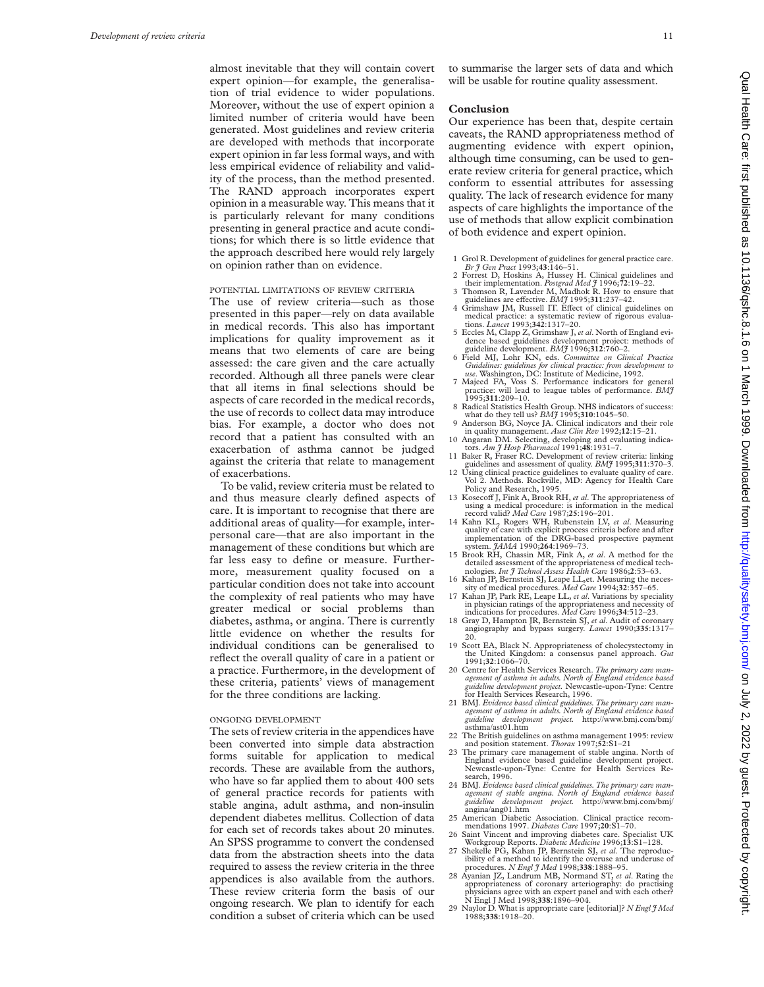almost inevitable that they will contain covert expert opinion—for example, the generalisation of trial evidence to wider populations. Moreover, without the use of expert opinion a limited number of criteria would have been generated. Most guidelines and review criteria are developed with methods that incorporate expert opinion in far less formal ways, and with less empirical evidence of reliability and validity of the process, than the method presented. The RAND approach incorporates expert opinion in a measurable way. This means that it is particularly relevant for many conditions presenting in general practice and acute conditions; for which there is so little evidence that the approach described here would rely largely on opinion rather than on evidence.

# POTENTIAL LIMITATIONS OF REVIEW CRITERIA

The use of review criteria—such as those presented in this paper—rely on data available in medical records. This also has important implications for quality improvement as it means that two elements of care are being assessed: the care given and the care actually recorded. Although all three panels were clear that all items in final selections should be aspects of care recorded in the medical records, the use of records to collect data may introduce bias. For example, a doctor who does not record that a patient has consulted with an exacerbation of asthma cannot be judged against the criteria that relate to management of exacerbations.

To be valid, review criteria must be related to and thus measure clearly defined aspects of care. It is important to recognise that there are additional areas of quality—for example, interpersonal care—that are also important in the management of these conditions but which are far less easy to define or measure. Furthermore, measurement quality focused on a particular condition does not take into account the complexity of real patients who may have greater medical or social problems than diabetes, asthma, or angina. There is currently little evidence on whether the results for individual conditions can be generalised to reflect the overall quality of care in a patient or a practice. Furthermore, in the development of these criteria, patients' views of management for the three conditions are lacking.

### ONGOING DEVELOPMENT

The sets of review criteria in the appendices have been converted into simple data abstraction forms suitable for application to medical records. These are available from the authors, who have so far applied them to about 400 sets of general practice records for patients with stable angina, adult asthma, and non-insulin dependent diabetes mellitus. Collection of data for each set of records takes about 20 minutes. An SPSS programme to convert the condensed data from the abstraction sheets into the data required to assess the review criteria in the three appendices is also available from the authors. These review criteria form the basis of our ongoing research. We plan to identify for each condition a subset of criteria which can be used

to summarise the larger sets of data and which will be usable for routine quality assessment.

### **Conclusion**

Our experience has been that, despite certain caveats, the RAND appropriateness method of augmenting evidence with expert opinion, although time consuming, can be used to generate review criteria for general practice, which conform to essential attributes for assessing quality. The lack of research evidence for many aspects of care highlights the importance of the use of methods that allow explicit combination of both evidence and expert opinion.

- 1 Grol R. Development of guidelines for general practice care. *Br J Gen Pract* 1993;**43**:146–51.
- 2 Forrest D, Hoskins A, Hussey H. Clinical guidelines and their implementation. *Postgrad Med J* 1996;**72**:19–22.
- 3 Thomson R, Lavender M, Madhok R. How to ensure that
- guidelines are effective. *BMJ* 1995;311:237–42.<br>4 Grimshaw JM, Russell IT. Effect of clinical guidelines on medical practice: a systematic review of rigorous evalua-
- tions. *Lancet* 1993;**342**:1317–20. 5 Eccles M, Clapp Z, Grimshaw J, *et al*. North of England evi-
- dence based guidelines development project: methods of guideline development. *BMJ* 1996;**312**:760–2.
- 
- 6 Field MJ, Lohr KN, eds. Committee on Clinical Practice<br>Guidelines: guidelines for clinical practice: from development to<br>use. Washington, DC: Institute of Medicine, 1992.<br>7 Majeed FA, Voss S. Performance indicators for g
- 8 Radical Statistics Health Group. NHS indicators of success: what do they tell us? *BMJ* 1995;**310**:1045–50.
- 9 Anderson BG, Noyce JA. Clinical indicators and their role in quality management. *Aust Clin Rev* 1992;**12**:15–21.
- 10 Angaran DM. Selecting, developing and evaluating indica- tors. *Am J Hosp Pharmacol* 1991;**48**:1931–7.
- 11 Baker R, Fraser RC. Development of review criteria: linking guidelines and assessment of quality. *BMJ* 1995;**311**:370–3. 12 Using clinical practice guidelines to evaluate quality of care. Vol 2. Methods. Rockville, MD: Agency for Health Care
- Policy and Research, 1995. 13 Kosecoff J, Fink A, Brook RH, *et al*. The appropriateness of
- using a medical procedure: is information in the medical record valid? *Med Care* 1987;**25**:196–201. 14 Kahn KL, Rogers WH, Rubenstein LV, *et al*. Measuring quality of care with explicit process criteria before and after implementation of the DRG-based prospective payment system. *JAMA* 1990;**264**:1969–73.
- 15 Brook RH, Chassin MR, Fink A, *et al*. A method for the detailed assessment of the appropriateness of medical technologies. *Int J Technol Assess Health Care* 1986;**2**:53–63.
- 16 Kahan JP, Bernstein SJ, Leape LL,et. Measuring the neces-
- sity of medical procedures. *Med Care* 1994;32:357–65.<br>17 Kahan JP, Park RE, Leape LL, *et al.* Variations by speciality in physician ratings of the appropriateness and necessity of indications for procedures. *Med Care*
- 18 Gray D, Hampton JR, Bernstein SJ, *et al*. Audit of coronary angiography and bypass surgery. *Lancet* 1990;**335**:1317–  $20$
- 19 Scott EA, Black N. Appropriateness of cholecystectomy in the United Kingdom: a consensus panel approach. *Gut* 1991;**32**:1066–70.
- 20 Centre for Health Services Research. *The primary care management of asthma in adults. North of England evidence based guideline development project.* Newcastle-upon-Tyne: Centre for Health Services Research, 1996.
- 21 BMJ. *Evidence based clinical guidelines. The primary care management of asthma in adults. North of England evidence based guideline development project.* http://www.bmj.com/bmj/ asthma/ast01.htm
- 22 The British guidelines on asthma management 1995: review and position statement. *Thorax* 1997;**52**:S1–21
- 23 The primary care management of stable angina. North of England evidence based guideline development project. Newcastle-upon-Tyne: Centre for Health Services Research, 1996.
- 24 BMJ. *Evidence based clinical guidelines. The primary care man-agement of stable angina. North of England evidence based guideline development project.* http://www.bmj.com/bmj/ angina/ang01.htm
- 25 American Diabetic Association. Clinical practice recom-mendations 1997. *Diabetes Care* 1997;**20**:S1–70.
- 26 Saint Vincent and improving diabetes care. Specialist UK Workgroup Reports. *Diabetic Medicine* 1996;**13**:S1–128. 27 Shekelle PG, Kahan JP, Bernstein SJ, *et al*. The reproduc-ibility of a method to identify the overuse and underuse of
- procedures. *N Engl J Med* 1998;**338**:1888–95. 28 Ayanian JZ, Landrum MB, Normand ST, *et al*. Rating the
- appropriateness of coronary arteriography: do practising physicians agree with an expert panel and with each other? physicians agree with an expert pair.<br>N Engl J Med 1998;338:1896–904.
- 29 Naylor D. What is appropriate care [editorial]? *N Engl J Med* 1988;**338**:1918–20.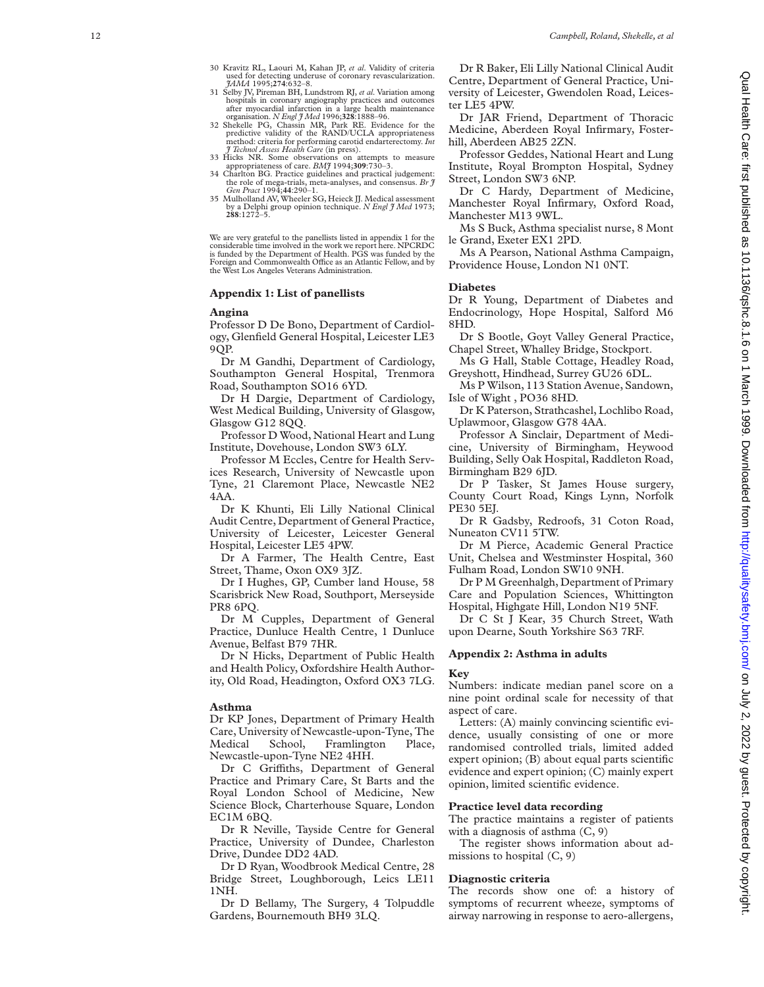- 30 Kravitz RL, Laouri M, Kahan JP, *et al*. Validity of criteria used for detecting underuse of coronary revascularization.<br>  $\frac{4AMA 1995:274:632-8}{7AMA 1995:274:632-8}$
- 31 Selby JV, Pireman BH, Lundstrom RJ, et al. Variation among hospitals in coronary angiography practices and outcomes after myocardial infarction in a large health maintenance organisation. *N Engl J Med* 1996;**328**:1888–96.
- 32 Shekelle PG, Chassin MR, Park RE. Evidence for the predictive validity of the RAND/UCLA appropriateness method: criteria for performing carotid endarterectomy. *Int J Technol Assess Health Care* (in press).
- 33 Hicks NR. Some observations on attempts to measure appropriateness of care. *BMJ* 1994;**309**:730–3. 34 Charlton BG. Practice guidelines and practical judgement:
- the role of mega-trials, meta-analyses, and consensus. *Br J Gen Pract* 1994;**44**:290–1. 35 Mulholland AV, Wheeler SG, Heieck JJ. Medical assessment
- by a Delphi group opinion technique. *N Engl J Med* 1973; **288**:1272–5.

We are very grateful to the panellists listed in appendix 1 for the considerable time involved in the work we report here. NPCRDC is funded by the Department of Health. PGS was funded by the Foreign and Commonwealth Office as an Atlantic Fellow, and by the West Los Angeles Veterans Administration.

# **Appendix 1: List of panellists**

#### **Angina**

Professor D De Bono, Department of Cardiology, Glenfield General Hospital, Leicester LE3 9QP.

Dr M Gandhi, Department of Cardiology, Southampton General Hospital, Trenmora Road, Southampton SO16 6YD.

Dr H Dargie, Department of Cardiology, West Medical Building, University of Glasgow, Glasgow G12 8QQ.

Professor D Wood, National Heart and Lung Institute, Dovehouse, London SW3 6LY.

Professor M Eccles, Centre for Health Services Research, University of Newcastle upon Tyne, 21 Claremont Place, Newcastle NE2 4AA.

Dr K Khunti, Eli Lilly National Clinical Audit Centre, Department of General Practice, University of Leicester, Leicester General Hospital, Leicester LE5 4PW.

Dr A Farmer, The Health Centre, East Street, Thame, Oxon OX9 3JZ.

Dr I Hughes, GP, Cumber land House, 58 Scarisbrick New Road, Southport, Merseyside PR8 6PQ.

Dr M Cupples, Department of General Practice, Dunluce Health Centre, 1 Dunluce Avenue, Belfast B79 7HR.

Dr N Hicks, Department of Public Health and Health Policy, Oxfordshire Health Authority, Old Road, Headington, Oxford OX3 7LG.

#### **Asthma**

Dr KP Jones, Department of Primary Health Care, University of Newcastle-upon-Tyne, The Medical School, Framlington Place, Newcastle-upon-Tyne NE2 4HH.

Dr C Griffiths, Department of General Practice and Primary Care, St Barts and the Royal London School of Medicine, New Science Block, Charterhouse Square, London EC1M 6BQ.

Dr R Neville, Tayside Centre for General Practice, University of Dundee, Charleston Drive, Dundee DD2 4AD.

Dr D Ryan, Woodbrook Medical Centre, 28 Bridge Street, Loughborough, Leics LE11 1NH.

Dr D Bellamy, The Surgery, 4 Tolpuddle Gardens, Bournemouth BH9 3LQ.

Dr R Baker, Eli Lilly National Clinical Audit Centre, Department of General Practice, University of Leicester, Gwendolen Road, Leicester LE5 4PW.

Dr JAR Friend, Department of Thoracic Medicine, Aberdeen Royal Infirmary, Fosterhill, Aberdeen AB25 2ZN.

Professor Geddes, National Heart and Lung Institute, Royal Brompton Hospital, Sydney Street, London SW3 6NP.

Dr C Hardy, Department of Medicine, Manchester Royal Infirmary, Oxford Road, Manchester M13 9WL.

Ms S Buck, Asthma specialist nurse, 8 Mont le Grand, Exeter EX1 2PD.

Ms A Pearson, National Asthma Campaign, Providence House, London N1 0NT.

### **Diabetes**

Dr R Young, Department of Diabetes and Endocrinology, Hope Hospital, Salford M6 8HD.

Dr S Bootle, Goyt Valley General Practice, Chapel Street, Whalley Bridge, Stockport.

Ms G Hall, Stable Cottage, Headley Road, Greyshott, Hindhead, Surrey GU26 6DL.

Ms P Wilson, 113 Station Avenue, Sandown, Isle of Wight , PO36 8HD.

Dr K Paterson, Strathcashel, Lochlibo Road, Uplawmoor, Glasgow G78 4AA.

Professor A Sinclair, Department of Medicine, University of Birmingham, Heywood Building, Selly Oak Hospital, Raddleton Road, Birmingham B29 6JD.

Dr P Tasker, St James House surgery, County Court Road, Kings Lynn, Norfolk PE30 5EJ.

Dr R Gadsby, Redroofs, 31 Coton Road, Nuneaton CV11 5TW.

Dr M Pierce, Academic General Practice Unit, Chelsea and Westminster Hospital, 360 Fulham Road, London SW10 9NH.

Dr P M Greenhalgh, Department of Primary Care and Population Sciences, Whittington Hospital, Highgate Hill, London N19 5NF.

Dr C St J Kear, 35 Church Street, Wath upon Dearne, South Yorkshire S63 7RF.

#### **Appendix 2: Asthma in adults**

#### **Key**

Numbers: indicate median panel score on a nine point ordinal scale for necessity of that aspect of care.

Letters: (A) mainly convincing scientific evidence, usually consisting of one or more randomised controlled trials, limited added expert opinion; (B) about equal parts scientific evidence and expert opinion; (C) mainly expert opinion, limited scientific evidence.

# **Practice level data recording**

The practice maintains a register of patients with a diagnosis of asthma (C, 9)

The register shows information about admissions to hospital (C, 9)

#### **Diagnostic criteria**

The records show one of: a history of symptoms of recurrent wheeze, symptoms of airway narrowing in response to aero-allergens,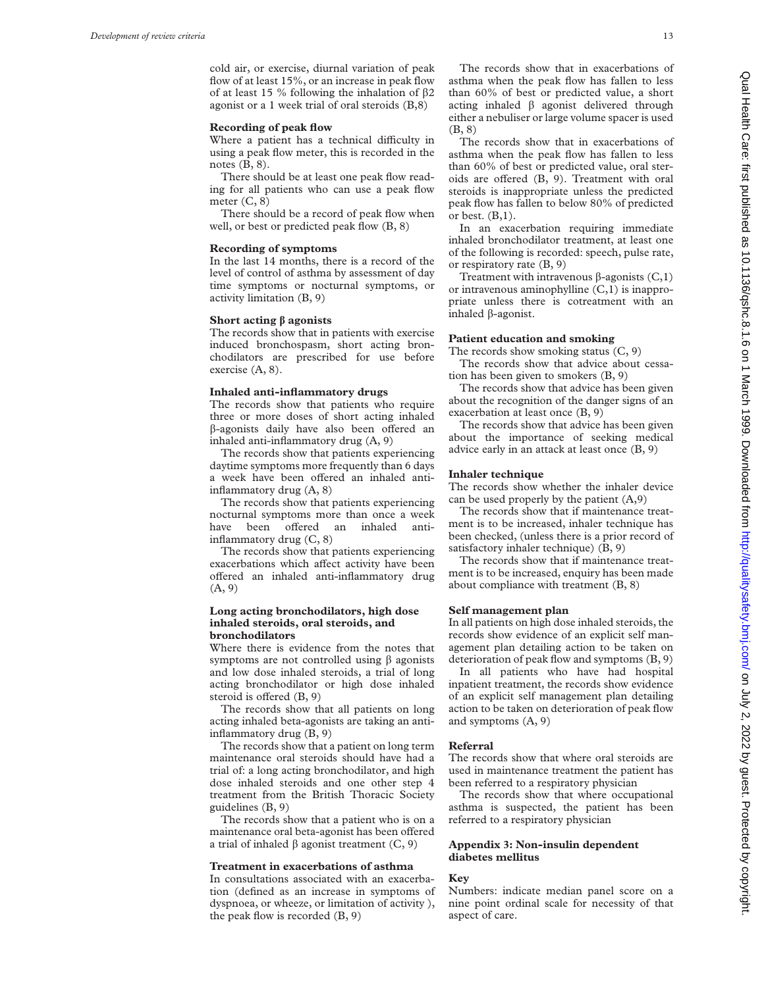cold air, or exercise, diurnal variation of peak flow of at least 15%, or an increase in peak flow of at least 15 % following the inhalation of  $\beta$ 2 agonist or a 1 week trial of oral steroids (B,8)

# **Recording of peak flow**

Where a patient has a technical difficulty in using a peak flow meter, this is recorded in the notes (B, 8).

There should be at least one peak flow reading for all patients who can use a peak flow meter  $(C, 8)$ 

There should be a record of peak flow when well, or best or predicted peak flow (B, 8)

### **Recording of symptoms**

In the last 14 months, there is a record of the level of control of asthma by assessment of day time symptoms or nocturnal symptoms, or activity limitation (B, 9)

### **Short acting â agonists**

The records show that in patients with exercise induced bronchospasm, short acting bronchodilators are prescribed for use before exercise (A, 8).

# **Inhaled anti-inflammatory drugs**

The records show that patients who require three or more doses of short acting inhaled  $\beta$ -agonists daily have also been offered an inhaled anti-inflammatory drug (A, 9)

The records show that patients experiencing daytime symptoms more frequently than 6 days a week have been offered an inhaled antiinflammatory drug (A, 8)

The records show that patients experiencing nocturnal symptoms more than once a week have been offered an inhaled antiinflammatory drug (C, 8)

The records show that patients experiencing exacerbations which affect activity have been offered an inhaled anti-inflammatory drug (A, 9)

# **Long acting bronchodilators, high dose inhaled steroids, oral steroids, and bronchodilators**

Where there is evidence from the notes that symptoms are not controlled using  $\beta$  agonists and low dose inhaled steroids, a trial of long acting bronchodilator or high dose inhaled steroid is offered (B, 9)

The records show that all patients on long acting inhaled beta-agonists are taking an antiinflammatory drug (B, 9)

The records show that a patient on long term maintenance oral steroids should have had a trial of: a long acting bronchodilator, and high dose inhaled steroids and one other step 4 treatment from the British Thoracic Society guidelines (B, 9)

The records show that a patient who is on a maintenance oral beta-agonist has been offered a trial of inhaled  $\beta$  agonist treatment  $(C, 9)$ 

# **Treatment in exacerbations of asthma**

In consultations associated with an exacerbation (defined as an increase in symptoms of dyspnoea, or wheeze, or limitation of activity ), the peak flow is recorded (B, 9)

The records show that in exacerbations of asthma when the peak flow has fallen to less than 60% of best or predicted value, a short acting inhaled â agonist delivered through either a nebuliser or large volume spacer is used (B, 8)

The records show that in exacerbations of asthma when the peak flow has fallen to less than 60% of best or predicted value, oral steroids are offered (B, 9). Treatment with oral steroids is inappropriate unless the predicted peak flow has fallen to below 80% of predicted or best.  $(B,1)$ .

In an exacerbation requiring immediate inhaled bronchodilator treatment, at least one of the following is recorded: speech, pulse rate, or respiratory rate (B, 9)

Treatment with intravenous  $\beta$ -agonists  $(C,1)$ or intravenous aminophylline  $(C,1)$  is inappropriate unless there is cotreatment with an inhaled  $\beta$ -agonist.

## **Patient education and smoking**

The records show smoking status (C, 9)

The records show that advice about cessation has been given to smokers (B, 9)

The records show that advice has been given about the recognition of the danger signs of an exacerbation at least once (B, 9)

The records show that advice has been given about the importance of seeking medical advice early in an attack at least once (B, 9)

#### **Inhaler technique**

The records show whether the inhaler device can be used properly by the patient (A,9)

The records show that if maintenance treatment is to be increased, inhaler technique has been checked, (unless there is a prior record of satisfactory inhaler technique) (B, 9)

The records show that if maintenance treatment is to be increased, enquiry has been made about compliance with treatment (B, 8)

# **Self management plan**

In all patients on high dose inhaled steroids, the records show evidence of an explicit self management plan detailing action to be taken on deterioration of peak flow and symptoms (B, 9)

In all patients who have had hospital inpatient treatment, the records show evidence of an explicit self management plan detailing action to be taken on deterioration of peak flow and symptoms (A, 9)

### **Referral**

The records show that where oral steroids are used in maintenance treatment the patient has been referred to a respiratory physician

The records show that where occupational asthma is suspected, the patient has been referred to a respiratory physician

# **Appendix 3: Non-insulin dependent diabetes mellitus**

### **Key**

Numbers: indicate median panel score on a nine point ordinal scale for necessity of that aspect of care.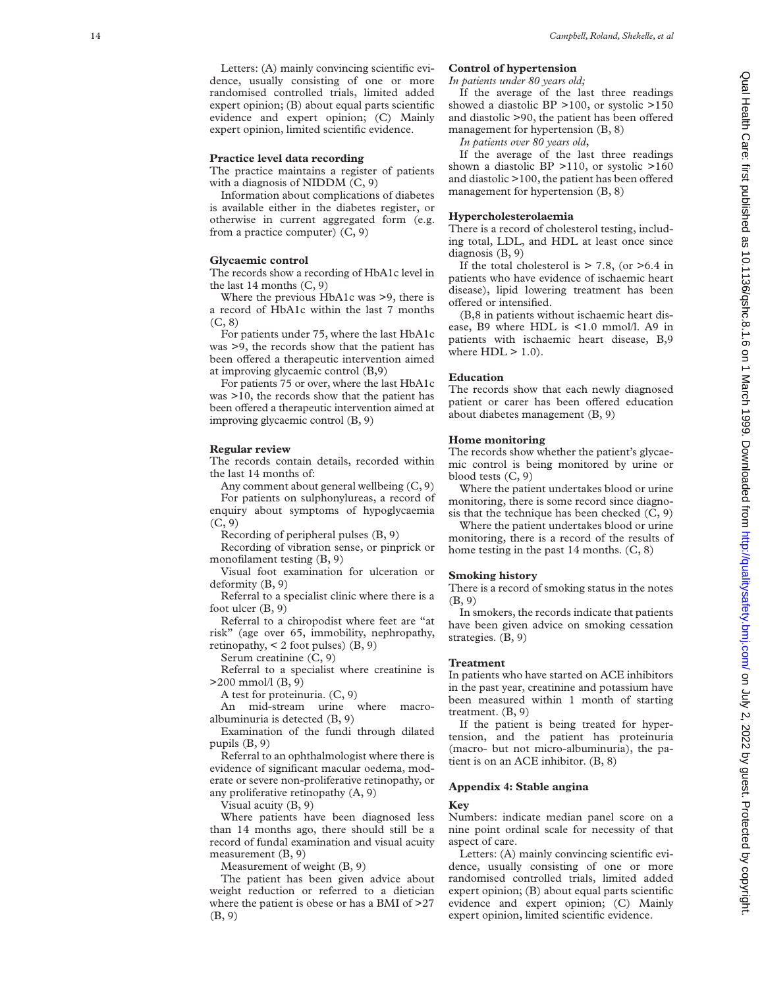Letters: (A) mainly convincing scientific evidence, usually consisting of one or more randomised controlled trials, limited added expert opinion; (B) about equal parts scientific evidence and expert opinion; (C) Mainly expert opinion, limited scientific evidence.

# **Practice level data recording**

The practice maintains a register of patients with a diagnosis of NIDDM (C, 9)

Information about complications of diabetes is available either in the diabetes register, or otherwise in current aggregated form (e.g. from a practice computer) (C, 9)

### **Glycaemic control**

The records show a recording of HbA1c level in the last 14 months (C, 9)

Where the previous HbA1c was >9, there is a record of HbA1c within the last 7 months (C, 8)

For patients under 75, where the last HbA1c was >9, the records show that the patient has been offered a therapeutic intervention aimed at improving glycaemic control (B,9)

For patients 75 or over, where the last HbA1c was >10, the records show that the patient has been offered a therapeutic intervention aimed at improving glycaemic control (B, 9)

### **Regular review**

The records contain details, recorded within the last 14 months of:

Any comment about general wellbeing (C, 9)

For patients on sulphonylureas, a record of enquiry about symptoms of hypoglycaemia  $(C, 9)$ 

Recording of peripheral pulses (B, 9)

Recording of vibration sense, or pinprick or monofilament testing (B, 9)

Visual foot examination for ulceration or deformity (B, 9)

Referral to a specialist clinic where there is a foot ulcer (B, 9)

Referral to a chiropodist where feet are "at risk" (age over 65, immobility, nephropathy, retinopathy,  $\lt$  2 foot pulses) (B, 9)

Serum creatinine (C, 9)

Referral to a specialist where creatinine is  $>200$  mmol/l (B, 9)

A test for proteinuria. (C, 9)

An mid-stream urine where macroalbuminuria is detected (B, 9)

Examination of the fundi through dilated pupils (B, 9)

Referral to an ophthalmologist where there is evidence of significant macular oedema, moderate or severe non-proliferative retinopathy, or any proliferative retinopathy (A, 9)

Visual acuity (B, 9)

Where patients have been diagnosed less than 14 months ago, there should still be a record of fundal examination and visual acuity measurement (B, 9)

Measurement of weight (B, 9)

The patient has been given advice about weight reduction or referred to a dietician where the patient is obese or has a BMI of >27 (B, 9)

### **Control of hypertension**

*In patients under 80 years old;*

If the average of the last three readings showed a diastolic BP >100, or systolic >150 and diastolic >90, the patient has been offered management for hypertension (B, 8)

*In patients over 80 years old*,

If the average of the last three readings shown a diastolic BP >110, or systolic >160 and diastolic >100, the patient has been offered management for hypertension (B, 8)

# **Hypercholesterolaemia**

There is a record of cholesterol testing, including total, LDL, and HDL at least once since diagnosis (B, 9)

If the total cholesterol is  $> 7.8$ , (or  $> 6.4$  in patients who have evidence of ischaemic heart disease), lipid lowering treatment has been offered or intensified.

(B,8 in patients without ischaemic heart disease, B9 where HDL is <1.0 mmol/l. A9 in patients with ischaemic heart disease, B,9 where  $HDL > 1.0$ ).

# **Education**

The records show that each newly diagnosed patient or carer has been offered education about diabetes management (B, 9)

## **Home monitoring**

The records show whether the patient's glycaemic control is being monitored by urine or blood tests (C, 9)

Where the patient undertakes blood or urine monitoring, there is some record since diagnosis that the technique has been checked  $(C, 9)$ 

Where the patient undertakes blood or urine monitoring, there is a record of the results of home testing in the past 14 months. (C, 8)

# **Smoking history**

There is a record of smoking status in the notes (B, 9)

In smokers, the records indicate that patients have been given advice on smoking cessation strategies. (B, 9)

### **Treatment**

In patients who have started on ACE inhibitors in the past year, creatinine and potassium have been measured within 1 month of starting treatment. (B, 9)

If the patient is being treated for hypertension, and the patient has proteinuria (macro- but not micro-albuminuria), the patient is on an ACE inhibitor. (B, 8)

## **Appendix 4: Stable angina**

#### **Key**

Numbers: indicate median panel score on a nine point ordinal scale for necessity of that aspect of care.

Letters: (A) mainly convincing scientific evidence, usually consisting of one or more randomised controlled trials, limited added expert opinion; (B) about equal parts scientific evidence and expert opinion; (C) Mainly expert opinion, limited scientific evidence.